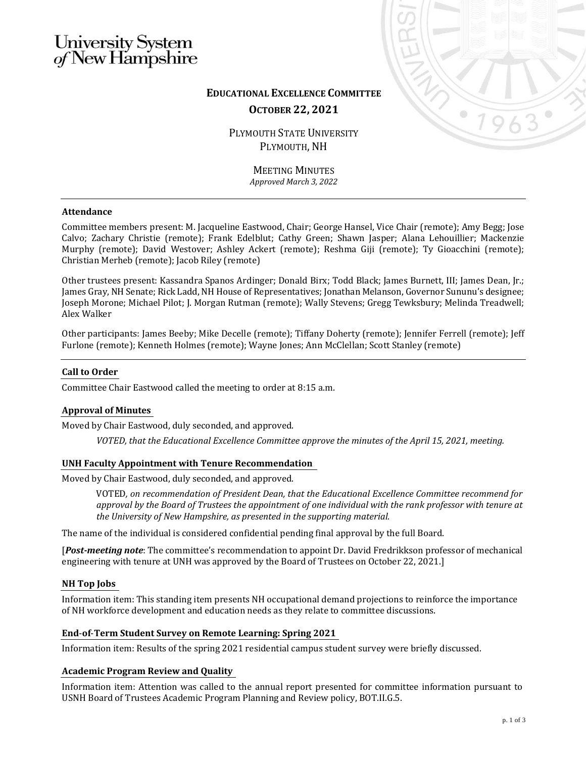# University System<br>of New Hampshire



# **EDUCATIONAL EXCELLENCE COMMITTEE OCTOBER 22, 2021**

PLYMOUTH STATE UNIVERSITY PLYMOUTH, NH

> MEETING MINUTES *Approved March 3, 2022*

# **Attendance**

Committee members present: M. Jacqueline Eastwood, Chair; George Hansel, Vice Chair (remote); Amy Begg; Jose Calvo; Zachary Christie (remote); Frank Edelblut; Cathy Green; Shawn Jasper; Alana Lehouillier; Mackenzie Murphy (remote); David Westover; Ashley Ackert (remote); Reshma Giji (remote); Ty Gioacchini (remote); Christian Merheb (remote); Jacob Riley (remote)

Other trustees present: Kassandra Spanos Ardinger; Donald Birx; Todd Black; James Burnett, III; James Dean, Jr.; James Gray, NH Senate; Rick Ladd, NH House of Representatives; Jonathan Melanson, Governor Sununu's designee; Joseph Morone; Michael Pilot; J. Morgan Rutman (remote); Wally Stevens; Gregg Tewksbury; Melinda Treadwell; Alex Walker

Other participants: James Beeby; Mike Decelle (remote); Tiffany Doherty (remote); Jennifer Ferrell (remote); Jeff Furlone (remote); Kenneth Holmes (remote); Wayne Jones; Ann McClellan; Scott Stanley (remote)

# **Call to Order**

Committee Chair Eastwood called the meeting to order at 8:15 a.m.

# **Approval of Minutes**

Moved by Chair Eastwood, duly seconded, and approved.

*VOTED, that the Educational Excellence Committee approve the minutes of the April 15, 2021, meeting.*

#### **UNH Faculty Appointment with Tenure Recommendation**

Moved by Chair Eastwood, duly seconded, and approved.

VOTED*, on recommendation of President Dean, that the Educational Excellence Committee recommend for approval by the Board of Trustees the appointment of one individual with the rank professor with tenure at the University of New Hampshire, as presented in the supporting material.*

The name of the individual is considered confidential pending final approval by the full Board.

[*Post-meeting note*: The committee's recommendation to appoint Dr. David Fredrikkson professor of mechanical engineering with tenure at UNH was approved by the Board of Trustees on October 22, 2021.]

#### **NH Top Jobs**

Information item: This standing item presents NH occupational demand projections to reinforce the importance of NH workforce development and education needs as they relate to committee discussions.

# **End**-**of**-**Term Student Survey on Remote Learning: Spring 2021**

Information item: Results of the spring 2021 residential campus student survey were briefly discussed.

#### **Academic Program Review and Quality**

Information item: Attention was called to the annual report presented for committee information pursuant to USNH Board of Trustees Academic Program Planning and Review policy, BOT.II.G.5.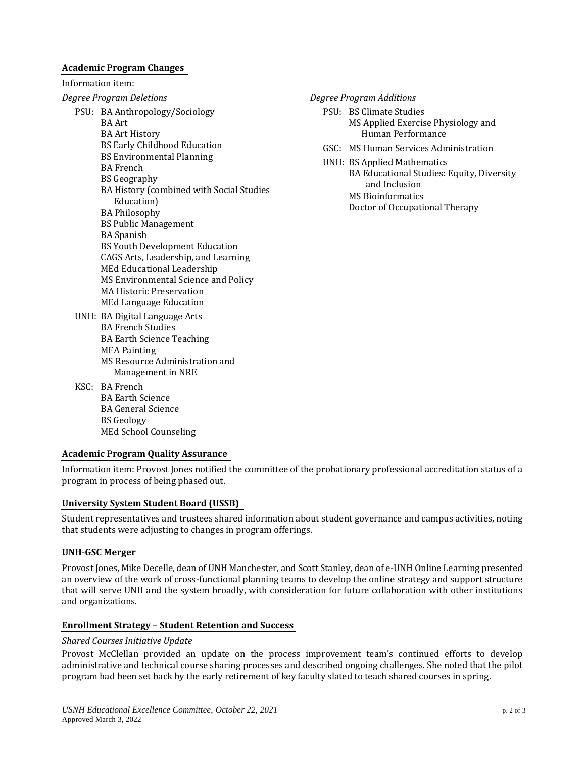#### **Academic Program Changes**

| <b>Academic Program Changes</b> |                                                                                                                                                                                                                |
|---------------------------------|----------------------------------------------------------------------------------------------------------------------------------------------------------------------------------------------------------------|
| Information item:               |                                                                                                                                                                                                                |
| <b>Degree Program Deletions</b> |                                                                                                                                                                                                                |
|                                 | PSU: BA Anthropology/Sociology<br><b>BA</b> Art<br><b>BA Art History</b><br><b>BS Early Childhood Education</b>                                                                                                |
|                                 | <b>BS Environmental Planning</b><br><b>BA</b> French                                                                                                                                                           |
|                                 | <b>BS Geography</b><br>BA History (combined with Social Studies<br>Education)                                                                                                                                  |
|                                 | <b>BA Philosophy</b><br><b>BS Public Management</b><br><b>BA</b> Spanish                                                                                                                                       |
|                                 | <b>BS Youth Development Education</b><br>CAGS Arts, Leadership, and Learning<br>MEd Educational Leadership<br>MS Environmental Science and Policy<br><b>MA Historic Preservation</b><br>MEd Language Education |
|                                 | UNH: BA Digital Language Arts<br><b>BA French Studies</b><br><b>BA Earth Science Teaching</b><br><b>MFA Painting</b><br>MS Resource Administration and<br>Management in NRE                                    |
|                                 | KSC: BA French                                                                                                                                                                                                 |

*Degree Program Additions*

- PSU: BS Climate Studies MS Applied Exercise Physiology and Human Performance
- GSC: MS Human Services Administration
- UNH: BS Applied Mathematics BA Educational Studies: Equity, Diversity and Inclusion MS Bioinformatics Doctor of Occupational Therapy

BA Earth Science BA General Science BS Geology MEd School Counseling

#### **Academic Program Quality Assurance**

Information item: Provost Jones notified the committee of the probationary professional accreditation status of a program in process of being phased out.

#### **University System Student Board (USSB)**

Student representatives and trustees shared information about student governance and campus activities, noting that students were adjusting to changes in program offerings.

#### **UNH**-**GSC Merger**

Provost Jones, Mike Decelle, dean of UNH Manchester, and Scott Stanley, dean of e-UNH Online Learning presented an overview of the work of cross-functional planning teams to develop the online strategy and support structure that will serve UNH and the system broadly, with consideration for future collaboration with other institutions and organizations.

#### **Enrollment Strategy** – **Student Retention and Success**

#### *Shared Courses Initiative Update*

Provost McClellan provided an update on the process improvement team's continued efforts to develop administrative and technical course sharing processes and described ongoing challenges. She noted that the pilot program had been set back by the early retirement of key faculty slated to teach shared courses in spring.